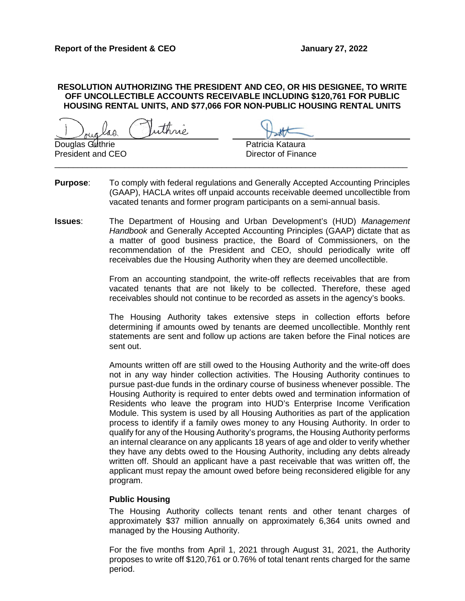### **RESOLUTION AUTHORIZING THE PRESIDENT AND CEO, OR HIS DESIGNEE, TO WRITE OFF UNCOLLECTIBLE ACCOUNTS RECEIVABLE INCLUDING \$120,761 FOR PUBLIC HOUSING RENTAL UNITS, AND \$77,066 FOR NON-PUBLIC HOUSING RENTAL UNITS**

ithnic.

Douglas Guthrie **Patricia Kataura** President and CEO Director of Finance

**Purpose:** To comply with federal regulations and Generally Accepted Accounting Principles (GAAP), HACLA writes off unpaid accounts receivable deemed uncollectible from vacated tenants and former program participants on a semi-annual basis.

\_\_\_\_\_\_\_\_\_\_\_\_\_\_\_\_\_\_\_\_\_\_\_\_\_\_\_\_\_\_\_\_\_\_\_\_\_\_\_\_\_\_\_\_\_\_\_\_\_\_\_\_\_\_\_\_\_\_\_\_\_\_\_\_\_\_\_\_\_\_\_\_\_\_\_\_

**Issues**: The Department of Housing and Urban Development's (HUD) *Management Handbook* and Generally Accepted Accounting Principles (GAAP) dictate that as a matter of good business practice, the Board of Commissioners, on the recommendation of the President and CEO, should periodically write off receivables due the Housing Authority when they are deemed uncollectible.

> From an accounting standpoint, the write-off reflects receivables that are from vacated tenants that are not likely to be collected. Therefore, these aged receivables should not continue to be recorded as assets in the agency's books.

> The Housing Authority takes extensive steps in collection efforts before determining if amounts owed by tenants are deemed uncollectible. Monthly rent statements are sent and follow up actions are taken before the Final notices are sent out.

> Amounts written off are still owed to the Housing Authority and the write-off does not in any way hinder collection activities. The Housing Authority continues to pursue past-due funds in the ordinary course of business whenever possible. The Housing Authority is required to enter debts owed and termination information of Residents who leave the program into HUD's Enterprise Income Verification Module. This system is used by all Housing Authorities as part of the application process to identify if a family owes money to any Housing Authority. In order to qualify for any of the Housing Authority's programs, the Housing Authority performs an internal clearance on any applicants 18 years of age and older to verify whether they have any debts owed to the Housing Authority, including any debts already written off. Should an applicant have a past receivable that was written off, the applicant must repay the amount owed before being reconsidered eligible for any program.

## **Public Housing**

The Housing Authority collects tenant rents and other tenant charges of approximately \$37 million annually on approximately 6,364 units owned and managed by the Housing Authority.

For the five months from April 1, 2021 through August 31, 2021, the Authority proposes to write off \$120,761 or 0.76% of total tenant rents charged for the same period.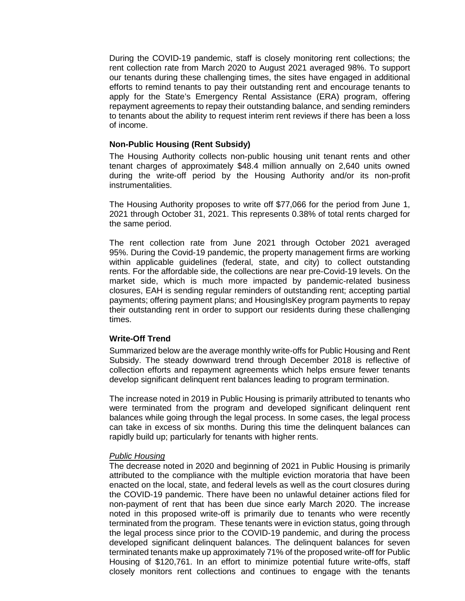During the COVID-19 pandemic, staff is closely monitoring rent collections; the rent collection rate from March 2020 to August 2021 averaged 98%. To support our tenants during these challenging times, the sites have engaged in additional efforts to remind tenants to pay their outstanding rent and encourage tenants to apply for the State's Emergency Rental Assistance (ERA) program, offering repayment agreements to repay their outstanding balance, and sending reminders to tenants about the ability to request interim rent reviews if there has been a loss of income.

## **Non-Public Housing (Rent Subsidy)**

The Housing Authority collects non-public housing unit tenant rents and other tenant charges of approximately \$48.4 million annually on 2,640 units owned during the write-off period by the Housing Authority and/or its non-profit instrumentalities.

The Housing Authority proposes to write off \$77,066 for the period from June 1, 2021 through October 31, 2021. This represents 0.38% of total rents charged for the same period.

The rent collection rate from June 2021 through October 2021 averaged 95%. During the Covid-19 pandemic, the property management firms are working within applicable guidelines (federal, state, and city) to collect outstanding rents. For the affordable side, the collections are near pre-Covid-19 levels. On the market side, which is much more impacted by pandemic-related business closures, EAH is sending regular reminders of outstanding rent; accepting partial payments; offering payment plans; and HousingIsKey program payments to repay their outstanding rent in order to support our residents during these challenging times.

## **Write-Off Trend**

Summarized below are the average monthly write-offs for Public Housing and Rent Subsidy. The steady downward trend through December 2018 is reflective of collection efforts and repayment agreements which helps ensure fewer tenants develop significant delinquent rent balances leading to program termination.

The increase noted in 2019 in Public Housing is primarily attributed to tenants who were terminated from the program and developed significant delinquent rent balances while going through the legal process. In some cases, the legal process can take in excess of six months. During this time the delinquent balances can rapidly build up; particularly for tenants with higher rents.

## *Public Housing*

The decrease noted in 2020 and beginning of 2021 in Public Housing is primarily attributed to the compliance with the multiple eviction moratoria that have been enacted on the local, state, and federal levels as well as the court closures during the COVID-19 pandemic. There have been no unlawful detainer actions filed for non-payment of rent that has been due since early March 2020. The increase noted in this proposed write-off is primarily due to tenants who were recently terminated from the program. These tenants were in eviction status, going through the legal process since prior to the COVID-19 pandemic, and during the process developed significant delinquent balances. The delinquent balances for seven terminated tenants make up approximately 71% of the proposed write-off for Public Housing of \$120,761. In an effort to minimize potential future write-offs, staff closely monitors rent collections and continues to engage with the tenants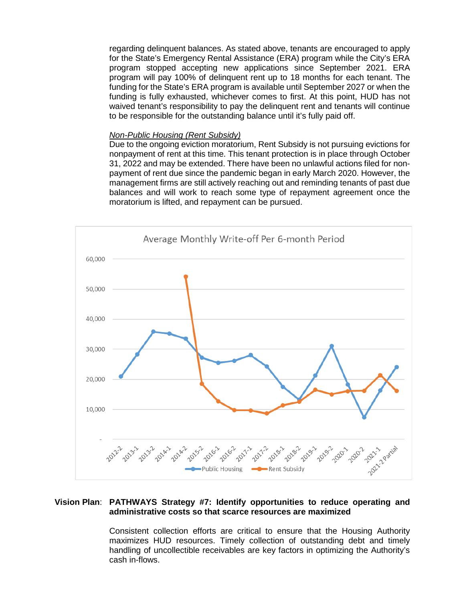regarding delinquent balances. As stated above, tenants are encouraged to apply for the State's Emergency Rental Assistance (ERA) program while the City's ERA program stopped accepting new applications since September 2021. ERA program will pay 100% of delinquent rent up to 18 months for each tenant. The funding for the State's ERA program is available until September 2027 or when the funding is fully exhausted, whichever comes to first. At this point, HUD has not waived tenant's responsibility to pay the delinquent rent and tenants will continue to be responsible for the outstanding balance until it's fully paid off.

#### *Non-Public Housing (Rent Subsidy)*

Due to the ongoing eviction moratorium, Rent Subsidy is not pursuing evictions for nonpayment of rent at this time. This tenant protection is in place through October 31, 2022 and may be extended. There have been no unlawful actions filed for nonpayment of rent due since the pandemic began in early March 2020. However, the management firms are still actively reaching out and reminding tenants of past due balances and will work to reach some type of repayment agreement once the moratorium is lifted, and repayment can be pursued.



## **Vision Plan**: **PATHWAYS Strategy #7: Identify opportunities to reduce operating and administrative costs so that scarce resources are maximized**

Consistent collection efforts are critical to ensure that the Housing Authority maximizes HUD resources. Timely collection of outstanding debt and timely handling of uncollectible receivables are key factors in optimizing the Authority's cash in-flows.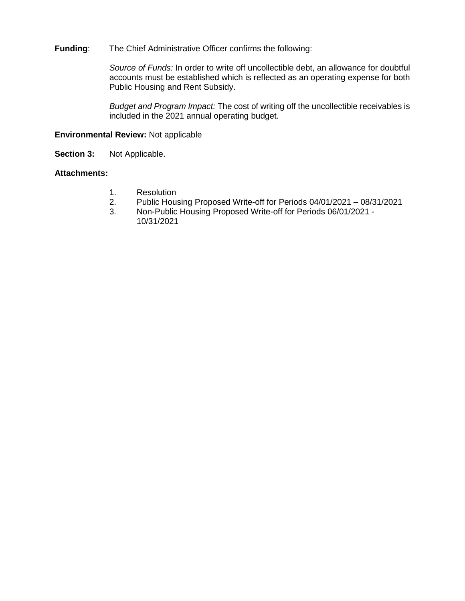# **Funding**: The Chief Administrative Officer confirms the following:

*Source of Funds:* In order to write off uncollectible debt, an allowance for doubtful accounts must be established which is reflected as an operating expense for both Public Housing and Rent Subsidy.

*Budget and Program Impact:* The cost of writing off the uncollectible receivables is included in the 2021 annual operating budget.

## **Environmental Review:** Not applicable

**Section 3:** Not Applicable.

## **Attachments:**

- 1. Resolution<br>2. Public Hous
- 2. Public Housing Proposed Write-off for Periods 04/01/2021 08/31/2021
- 3. Non-Public Housing Proposed Write-off for Periods 06/01/2021 10/31/2021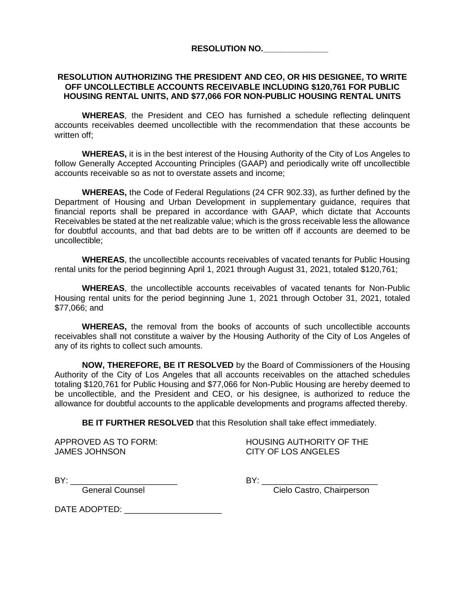**RESOLUTION NO.\_\_\_\_\_\_\_\_\_\_\_\_\_\_**

# **RESOLUTION AUTHORIZING THE PRESIDENT AND CEO, OR HIS DESIGNEE, TO WRITE OFF UNCOLLECTIBLE ACCOUNTS RECEIVABLE INCLUDING \$120,761 FOR PUBLIC HOUSING RENTAL UNITS, AND \$77,066 FOR NON-PUBLIC HOUSING RENTAL UNITS**

**WHEREAS**, the President and CEO has furnished a schedule reflecting delinquent accounts receivables deemed uncollectible with the recommendation that these accounts be written off;

**WHEREAS,** it is in the best interest of the Housing Authority of the City of Los Angeles to follow Generally Accepted Accounting Principles (GAAP) and periodically write off uncollectible accounts receivable so as not to overstate assets and income;

**WHEREAS,** the Code of Federal Regulations (24 CFR 902.33), as further defined by the Department of Housing and Urban Development in supplementary guidance, requires that financial reports shall be prepared in accordance with GAAP, which dictate that Accounts Receivables be stated at the net realizable value; which is the gross receivable less the allowance for doubtful accounts, and that bad debts are to be written off if accounts are deemed to be uncollectible;

**WHEREAS**, the uncollectible accounts receivables of vacated tenants for Public Housing rental units for the period beginning April 1, 2021 through August 31, 2021, totaled \$120,761;

**WHEREAS**, the uncollectible accounts receivables of vacated tenants for Non-Public Housing rental units for the period beginning June 1, 2021 through October 31, 2021, totaled \$77,066; and

**WHEREAS,** the removal from the books of accounts of such uncollectible accounts receivables shall not constitute a waiver by the Housing Authority of the City of Los Angeles of any of its rights to collect such amounts.

**NOW, THEREFORE, BE IT RESOLVED** by the Board of Commissioners of the Housing Authority of the City of Los Angeles that all accounts receivables on the attached schedules totaling \$120,761 for Public Housing and \$77,066 for Non-Public Housing are hereby deemed to be uncollectible, and the President and CEO, or his designee, is authorized to reduce the allowance for doubtful accounts to the applicable developments and programs affected thereby.

**BE IT FURTHER RESOLVED** that this Resolution shall take effect immediately.

JAMES JOHNSON CITY OF LOS ANGELES

APPROVED AS TO FORM: HOUSING AUTHORITY OF THE

BY: \_\_\_\_\_\_\_\_\_\_\_\_\_\_\_\_\_\_\_\_\_\_\_ BY: \_\_\_\_\_\_\_\_\_\_\_\_\_\_\_\_\_\_\_\_\_\_\_\_\_

General Counsel **Conservative Cielo Castro**, Chairperson

DATE ADOPTED: \_\_\_\_\_\_\_\_\_\_\_\_\_\_\_\_\_\_\_\_\_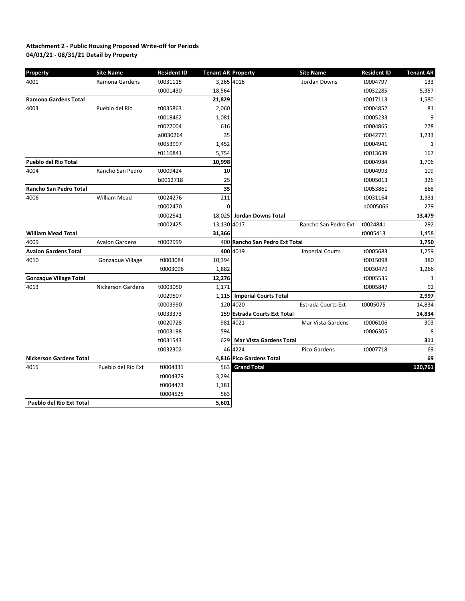#### **04/01/21 - 08/31/21 Detail by Property Attachment 2 - Public Housing Proposed Write-off for Periods**

| Property                        | <b>Site Name</b>         | <b>Resident ID</b> | <b>Tenant AR Property</b> |                                | <b>Site Name</b>          | <b>Resident ID</b> | <b>Tenant AR</b> |
|---------------------------------|--------------------------|--------------------|---------------------------|--------------------------------|---------------------------|--------------------|------------------|
| 4001                            | Ramona Gardens           | t0031115           | 3,265 4016                |                                | Jordan Downs              | t0004797           | 133              |
|                                 |                          | t0001430           | 18,564                    |                                |                           | t0032285           | 5,357            |
| Ramona Gardens Total            |                          |                    | 21,829                    |                                |                           | t0017113           | 1,580            |
| 4003                            | Pueblo del Rio           | t0035863           | 2,060                     |                                |                           | t0004852           | 81               |
|                                 |                          | t0018462           | 1,081                     |                                |                           | t0005233           | 9                |
|                                 |                          | t0027004           | 616                       |                                |                           | t0004865           | 278              |
|                                 |                          | a0030264           | 35                        |                                |                           | t0042771           | 1,233            |
|                                 |                          | t0053997           | 1,452                     |                                |                           | t0004941           | $\mathbf{1}$     |
|                                 |                          | t0110841           | 5,754                     |                                |                           | t0013639           | 167              |
| <b>Pueblo del Rio Total</b>     |                          |                    | 10,998                    |                                |                           | t0004984           | 1,706            |
| 4004                            | Rancho San Pedro         | t0009424           | 10                        |                                |                           | t0004993           | 109              |
|                                 |                          | b0012718           | 25                        |                                |                           | t0005013           | 326              |
| Rancho San Pedro Total          |                          |                    | 35                        |                                |                           | t0053861           | 888              |
| 4006                            | <b>William Mead</b>      | t0024276           | 211                       |                                |                           | t0031164           | 1,331            |
|                                 |                          | t0002470           | $\Omega$                  |                                |                           | a0005066           | 279              |
|                                 |                          | t0002541           | 18,025                    | Jordan Downs Total             |                           |                    | 13,479           |
|                                 |                          | t0002425           | 13,130 4017               |                                | Rancho San Pedro Ext      | t0024841           | 292              |
| <b>William Mead Total</b>       |                          |                    | 31,366                    |                                |                           | t0005413           | 1,458            |
| 4009                            | <b>Avalon Gardens</b>    | t0002999           |                           | 400 Rancho San Pedro Ext Total |                           |                    | 1,750            |
| <b>Avalon Gardens Total</b>     |                          |                    |                           | 400 4019                       | <b>Imperial Courts</b>    | t0005683           | 1,259            |
| 4010                            | Gonzaque Village         | t0003084           | 10,394                    |                                |                           | t0015098           | 380              |
|                                 |                          | t0003096           | 1,882                     |                                |                           | t0030479           | 1,266            |
| <b>Gonzague Village Total</b>   |                          |                    | 12,276                    |                                |                           | t0005535           | $\mathbf{1}$     |
| 4013                            | <b>Nickerson Gardens</b> | t0003050           | 1,171                     |                                |                           | t0005847           | 92               |
|                                 |                          | t0029507           | 1,115                     | <b>Imperial Courts Total</b>   |                           |                    | 2,997            |
|                                 |                          | t0003990           |                           | 120 4020                       | <b>Estrada Courts Ext</b> | t0005075           | 14,834           |
|                                 |                          | t0033373           |                           | 159 Estrada Courts Ext Total   |                           |                    | 14,834           |
|                                 |                          | t0020728           |                           | 981 4021                       | Mar Vista Gardens         | t0006106           | 303              |
|                                 |                          | t0003198           | 594                       |                                |                           | t0006305           | 8                |
|                                 |                          | t0031543           | 629                       | <b>Mar Vista Gardens Total</b> |                           |                    | 311              |
|                                 |                          | t0032302           |                           | 46 4224                        | Pico Gardens              | t0007718           | 69               |
| <b>Nickerson Gardens Total</b>  |                          |                    |                           | 4,816 Pico Gardens Total       |                           |                    | 69               |
| 4015                            | Pueblo del Rio Ext       | t0004331           | 563                       | <b>Grand Total</b>             |                           |                    | 120,761          |
|                                 |                          | t0004379           | 3,294                     |                                |                           |                    |                  |
|                                 |                          | t0004473           | 1,181                     |                                |                           |                    |                  |
|                                 |                          | t0004525           | 563                       |                                |                           |                    |                  |
| <b>Pueblo del Rio Ext Total</b> |                          |                    | 5,601                     |                                |                           |                    |                  |